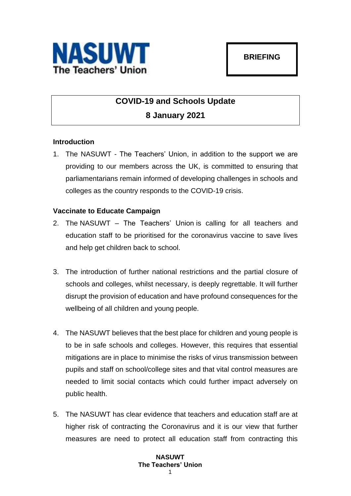

# **COVID-19 and Schools Update 8 January 2021**

## **Introduction**

1. The NASUWT - The Teachers' Union, in addition to the support we are providing to our members across the UK, is committed to ensuring that parliamentarians remain informed of developing challenges in schools and colleges as the country responds to the COVID-19 crisis.

## **Vaccinate to Educate Campaign**

- 2. The NASUWT The Teachers' Union is calling for all teachers and education staff to be prioritised for the coronavirus vaccine to save lives and help get children back to school.
- 3. The introduction of further national restrictions and the partial closure of schools and colleges, whilst necessary, is deeply regrettable. It will further disrupt the provision of education and have profound consequences for the wellbeing of all children and young people.
- 4. The NASUWT believes that the best place for children and young people is to be in safe schools and colleges. However, this requires that essential mitigations are in place to minimise the risks of virus transmission between pupils and staff on school/college sites and that vital control measures are needed to limit social contacts which could further impact adversely on public health.
- 5. The NASUWT has clear evidence that teachers and education staff are at higher risk of contracting the Coronavirus and it is our view that further measures are need to protect all education staff from contracting this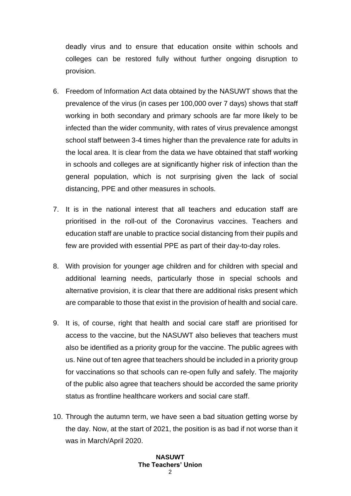deadly virus and to ensure that education onsite within schools and colleges can be restored fully without further ongoing disruption to provision.

- 6. Freedom of Information Act data obtained by the NASUWT shows that the prevalence of the virus (in cases per 100,000 over 7 days) shows that staff working in both secondary and primary schools are far more likely to be infected than the wider community, with rates of virus prevalence amongst school staff between 3-4 times higher than the prevalence rate for adults in the local area. It is clear from the data we have obtained that staff working in schools and colleges are at significantly higher risk of infection than the general population, which is not surprising given the lack of social distancing, PPE and other measures in schools.
- 7. It is in the national interest that all teachers and education staff are prioritised in the roll-out of the Coronavirus vaccines. Teachers and education staff are unable to practice social distancing from their pupils and few are provided with essential PPE as part of their day-to-day roles.
- 8. With provision for younger age children and for children with special and additional learning needs, particularly those in special schools and alternative provision, it is clear that there are additional risks present which are comparable to those that exist in the provision of health and social care.
- 9. It is, of course, right that health and social care staff are prioritised for access to the vaccine, but the NASUWT also believes that teachers must also be identified as a priority group for the vaccine. The public agrees with us. Nine out of ten agree that teachers should be included in a priority group for vaccinations so that schools can re-open fully and safely. The majority of the public also agree that teachers should be accorded the same priority status as frontline healthcare workers and social care staff.
- 10. Through the autumn term, we have seen a bad situation getting worse by the day. Now, at the start of 2021, the position is as bad if not worse than it was in March/April 2020.

#### **NASUWT The Teachers' Union**  $\mathcal{L}$